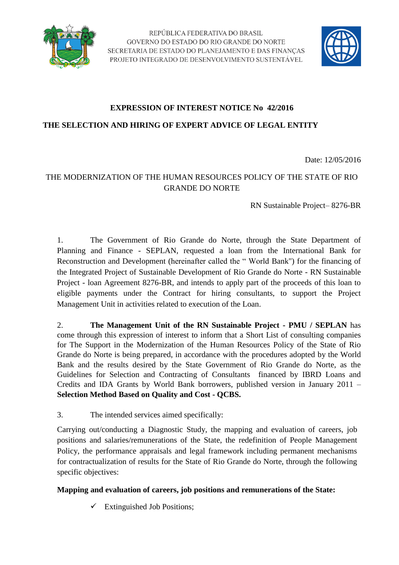



## **EXPRESSION OF INTEREST NOTICE No 42/2016**

**THE SELECTION AND HIRING OF EXPERT ADVICE OF LEGAL ENTITY**

Date: 12/05/2016

## THE MODERNIZATION OF THE HUMAN RESOURCES POLICY OF THE STATE OF RIO GRANDE DO NORTE

RN Sustainable Project– 8276-BR

1. The Government of Rio Grande do Norte, through the State Department of Planning and Finance - SEPLAN, requested a loan from the International Bank for Reconstruction and Development (hereinafter called the " World Bank") for the financing of the Integrated Project of Sustainable Development of Rio Grande do Norte - RN Sustainable Project - loan Agreement 8276-BR, and intends to apply part of the proceeds of this loan to eligible payments under the Contract for hiring consultants, to support the Project Management Unit in activities related to execution of the Loan.

2. **The Management Unit of the RN Sustainable Project - PMU / SEPLAN** has come through this expression of interest to inform that a Short List of consulting companies for The Support in the Modernization of the Human Resources Policy of the State of Rio Grande do Norte is being prepared, in accordance with the procedures adopted by the World Bank and the results desired by the State Government of Rio Grande do Norte, as the Guidelines for Selection and Contracting of Consultants financed by IBRD Loans and Credits and IDA Grants by World Bank borrowers, published version in January 2011 – **Selection Method Based on Quality and Cost - QCBS.**

3. The intended services aimed specifically:

Carrying out/conducting a Diagnostic Study, the mapping and evaluation of careers, job positions and salaries/remunerations of the State, the redefinition of People Management Policy, the performance appraisals and legal framework including permanent mechanisms for contractualization of results for the State of Rio Grande do Norte, through the following specific objectives:

## **Mapping and evaluation of careers, job positions and remunerations of the State:**

 $\checkmark$  Extinguished Job Positions;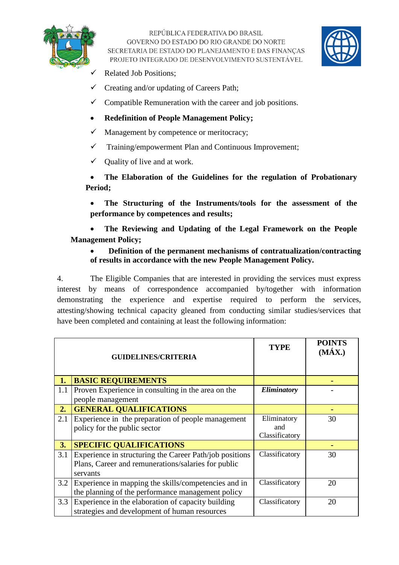

REPÚBLICA FEDERATIVA DO BRASIL GOVERNO DO ESTADO DO RIO GRANDE DO NORTE SECRETARIA DE ESTADO DO PLANEJAMENTO E DAS FINANCAS PROJETO INTEGRADO DE DESENVOLVIMENTO SUSTENTÁVEL



- Related Job Positions;
- $\checkmark$  Creating and/or updating of Careers Path;
- $\checkmark$  Compatible Remuneration with the career and job positions.
- **Redefinition of People Management Policy;**
- $\checkmark$  Management by competence or meritocracy;
- $\checkmark$  Training/empowerment Plan and Continuous Improvement;
- $\checkmark$  Quality of live and at work.

 **The Elaboration of the Guidelines for the regulation of Probationary Period;**

 **The Structuring of the Instruments/tools for the assessment of the performance by competences and results;**

 **The Reviewing and Updating of the Legal Framework on the People Management Policy;**

### **Definition of the permanent mechanisms of contratualization/contracting of results in accordance with the new People Management Policy.**

4. The Eligible Companies that are interested in providing the services must express interest by means of correspondence accompanied by/together with information demonstrating the experience and expertise required to perform the services, attesting/showing technical capacity gleaned from conducting similar studies/services that have been completed and containing at least the following information:

|     | <b>GUIDELINES/CRITERIA</b>                              | <b>TYPE</b>    | <b>POINTS</b><br>$(M\acute{A}X.)$ |
|-----|---------------------------------------------------------|----------------|-----------------------------------|
|     |                                                         |                |                                   |
| 1.  | <b>BASIC REQUIREMENTS</b>                               |                |                                   |
| 1.1 | Proven Experience in consulting in the area on the      | Eliminatory    |                                   |
|     | people management                                       |                |                                   |
| 2.  | <b>GENERAL QUALIFICATIONS</b>                           |                |                                   |
| 2.1 | Experience in the preparation of people management      | Eliminatory    | 30                                |
|     | policy for the public sector                            | and            |                                   |
|     |                                                         | Classificatory |                                   |
| 3.  | <b>SPECIFIC QUALIFICATIONS</b>                          |                |                                   |
| 3.1 | Experience in structuring the Career Path/job positions | Classificatory | 30                                |
|     | Plans, Career and remunerations/salaries for public     |                |                                   |
|     | servants                                                |                |                                   |
| 3.2 | Experience in mapping the skills/competencies and in    | Classificatory | 20                                |
|     | the planning of the performance management policy       |                |                                   |
| 3.3 | Experience in the elaboration of capacity building      | Classificatory | 20                                |
|     | strategies and development of human resources           |                |                                   |